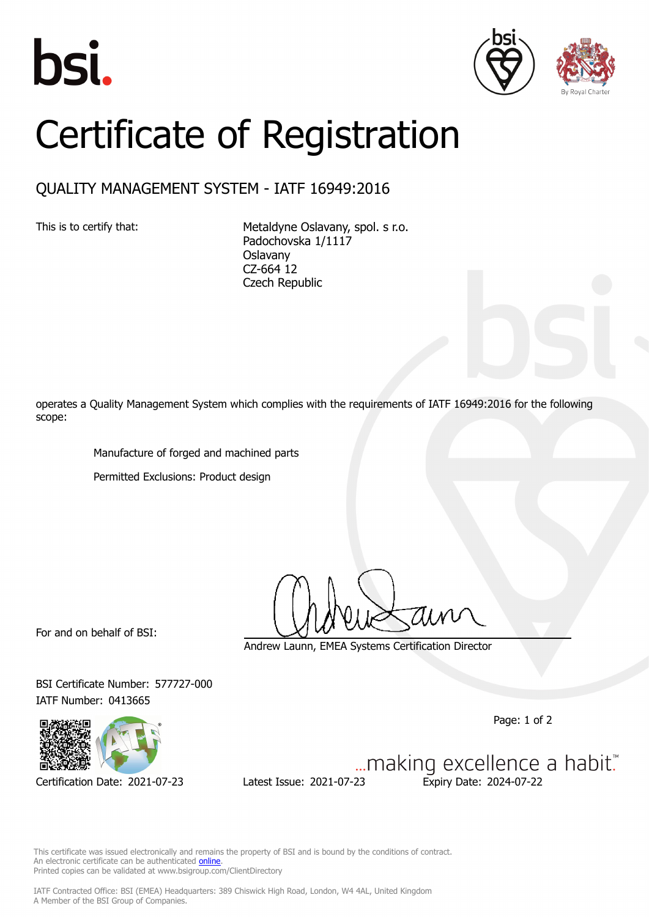





## Certificate of Registration

## QUALITY MANAGEMENT SYSTEM - IATF 16949:2016

This is to certify that: Metaldyne Oslavany, spol. s r.o. Padochovska 1/1117 Oslavany CZ-664 12 Czech Republic

operates a Quality Management System which complies with the requirements of IATF 16949:2016 for the following scope:

Manufacture of forged and machined parts

Permitted Exclusions: Product design

For and on behalf of BSI:

Andrew Launn, EMEA Systems Certification Director

BSI Certificate Number: 577727-000 IATF Number: 0413665

Page: 1 of 2



Certification Date: 2021-07-23 Latest Issue: 2021-07-23 Expiry Date: 2024-07-22

... making excellence a habit."

This certificate was issued electronically and remains the property of BSI and is bound by the conditions of contract. An electronic certificate can be authenticated **[online](https://pgplus.bsigroup.com/CertificateValidation/CertificateValidator.aspx?CertificateNumber=TS+577727-000&ReIssueDate=23%2f07%2f2021&Template=cemea_en)** Printed copies can be validated at www.bsigroup.com/ClientDirectory

IATF Contracted Office: BSI (EMEA) Headquarters: 389 Chiswick High Road, London, W4 4AL, United Kingdom A Member of the BSI Group of Companies.